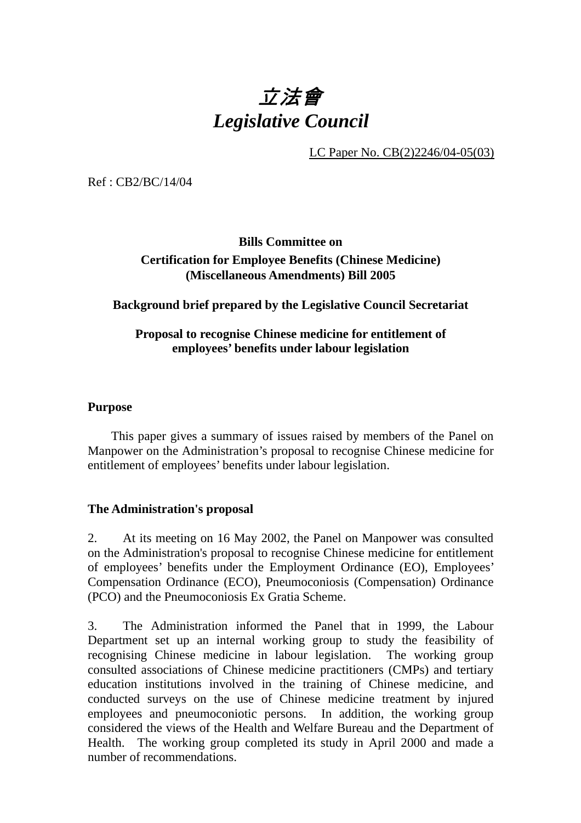## 立法會 *Legislative Council*

LC Paper No. CB(2)2246/04-05(03)

Ref : CB2/BC/14/04

### **Bills Committee on Certification for Employee Benefits (Chinese Medicine) (Miscellaneous Amendments) Bill 2005**

### **Background brief prepared by the Legislative Council Secretariat**

### **Proposal to recognise Chinese medicine for entitlement of employees' benefits under labour legislation**

### **Purpose**

 This paper gives a summary of issues raised by members of the Panel on Manpower on the Administration's proposal to recognise Chinese medicine for entitlement of employees' benefits under labour legislation.

### **The Administration's proposal**

2. At its meeting on 16 May 2002, the Panel on Manpower was consulted on the Administration's proposal to recognise Chinese medicine for entitlement of employees' benefits under the Employment Ordinance (EO), Employees' Compensation Ordinance (ECO), Pneumoconiosis (Compensation) Ordinance (PCO) and the Pneumoconiosis Ex Gratia Scheme.

3. The Administration informed the Panel that in 1999, the Labour Department set up an internal working group to study the feasibility of recognising Chinese medicine in labour legislation. The working group consulted associations of Chinese medicine practitioners (CMPs) and tertiary education institutions involved in the training of Chinese medicine, and conducted surveys on the use of Chinese medicine treatment by injured employees and pneumoconiotic persons. In addition, the working group considered the views of the Health and Welfare Bureau and the Department of Health. The working group completed its study in April 2000 and made a number of recommendations.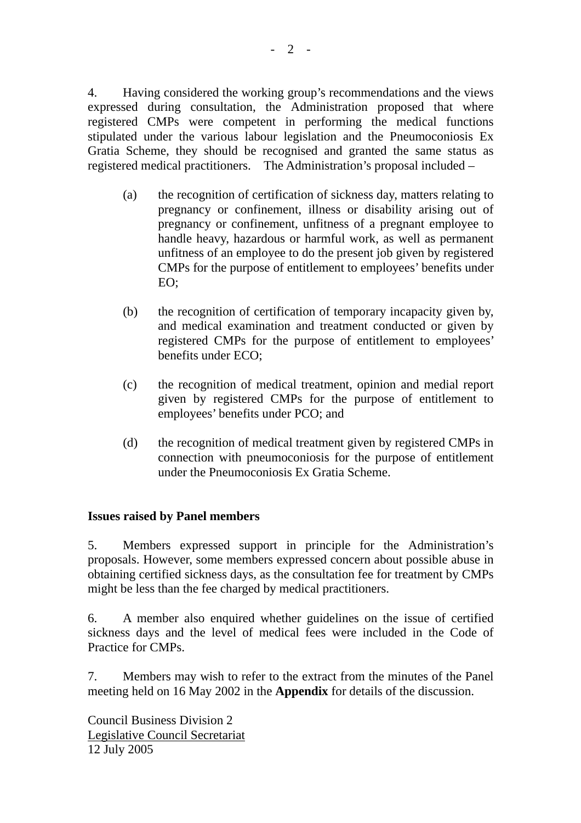4. Having considered the working group's recommendations and the views expressed during consultation, the Administration proposed that where registered CMPs were competent in performing the medical functions stipulated under the various labour legislation and the Pneumoconiosis Ex Gratia Scheme, they should be recognised and granted the same status as registered medical practitioners. The Administration's proposal included –

- (a) the recognition of certification of sickness day, matters relating to pregnancy or confinement, illness or disability arising out of pregnancy or confinement, unfitness of a pregnant employee to handle heavy, hazardous or harmful work, as well as permanent unfitness of an employee to do the present job given by registered CMPs for the purpose of entitlement to employees' benefits under EO;
- (b) the recognition of certification of temporary incapacity given by, and medical examination and treatment conducted or given by registered CMPs for the purpose of entitlement to employees' benefits under ECO;
- (c) the recognition of medical treatment, opinion and medial report given by registered CMPs for the purpose of entitlement to employees' benefits under PCO; and
- (d) the recognition of medical treatment given by registered CMPs in connection with pneumoconiosis for the purpose of entitlement under the Pneumoconiosis Ex Gratia Scheme.

### **Issues raised by Panel members**

5. Members expressed support in principle for the Administration's proposals. However, some members expressed concern about possible abuse in obtaining certified sickness days, as the consultation fee for treatment by CMPs might be less than the fee charged by medical practitioners.

6. A member also enquired whether guidelines on the issue of certified sickness days and the level of medical fees were included in the Code of Practice for CMPs.

7. Members may wish to refer to the extract from the minutes of the Panel meeting held on 16 May 2002 in the **Appendix** for details of the discussion.

Council Business Division 2 Legislative Council Secretariat 12 July 2005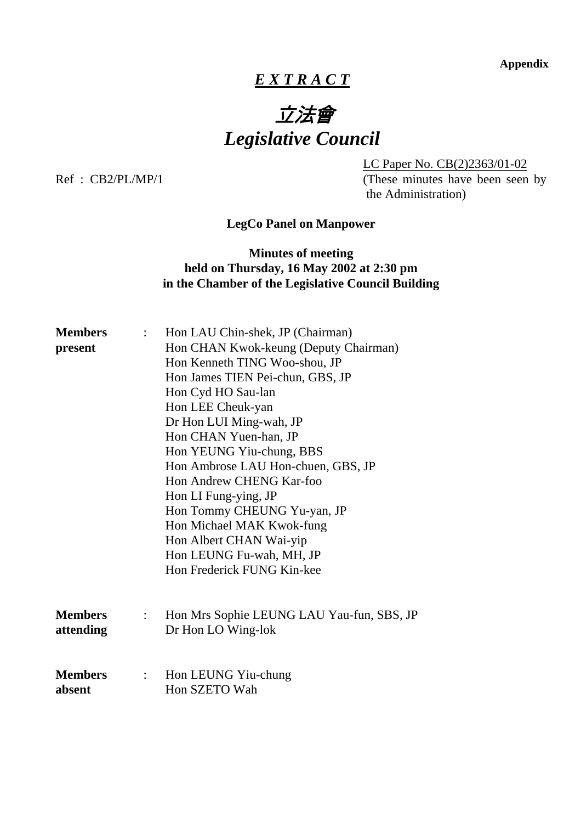**Appendix** 

### *E X T R A C T*

# 立法會 *Legislative Council*

 LC Paper No. CB(2)2363/01-02 Ref : CB2/PL/MP/1 (These minutes have been seen by the Administration)

**LegCo Panel on Manpower** 

### **Minutes of meeting held on Thursday, 16 May 2002 at 2:30 pm in the Chamber of the Legislative Council Building**

| <b>Members</b><br>present   | $\mathbb{Z}^{\mathbb{Z}}$ | Hon LAU Chin-shek, JP (Chairman)<br>Hon CHAN Kwok-keung (Deputy Chairman)<br>Hon Kenneth TING Woo-shou, JP<br>Hon James TIEN Pei-chun, GBS, JP<br>Hon Cyd HO Sau-lan<br>Hon LEE Cheuk-yan<br>Dr Hon LUI Ming-wah, JP<br>Hon CHAN Yuen-han, JP<br>Hon YEUNG Yiu-chung, BBS<br>Hon Ambrose LAU Hon-chuen, GBS, JP<br>Hon Andrew CHENG Kar-foo<br>Hon LI Fung-ying, JP<br>Hon Tommy CHEUNG Yu-yan, JP<br>Hon Michael MAK Kwok-fung<br>Hon Albert CHAN Wai-yip<br>Hon LEUNG Fu-wah, MH, JP<br>Hon Frederick FUNG Kin-kee |
|-----------------------------|---------------------------|----------------------------------------------------------------------------------------------------------------------------------------------------------------------------------------------------------------------------------------------------------------------------------------------------------------------------------------------------------------------------------------------------------------------------------------------------------------------------------------------------------------------|
| <b>Members</b><br>attending | $\mathbb{R}$              | Hon Mrs Sophie LEUNG LAU Yau-fun, SBS, JP<br>Dr Hon LO Wing-lok                                                                                                                                                                                                                                                                                                                                                                                                                                                      |
| <b>Members</b><br>absent    | $\mathbb{R}^{\mathbb{Z}}$ | Hon LEUNG Yiu-chung<br>Hon SZETO Wah                                                                                                                                                                                                                                                                                                                                                                                                                                                                                 |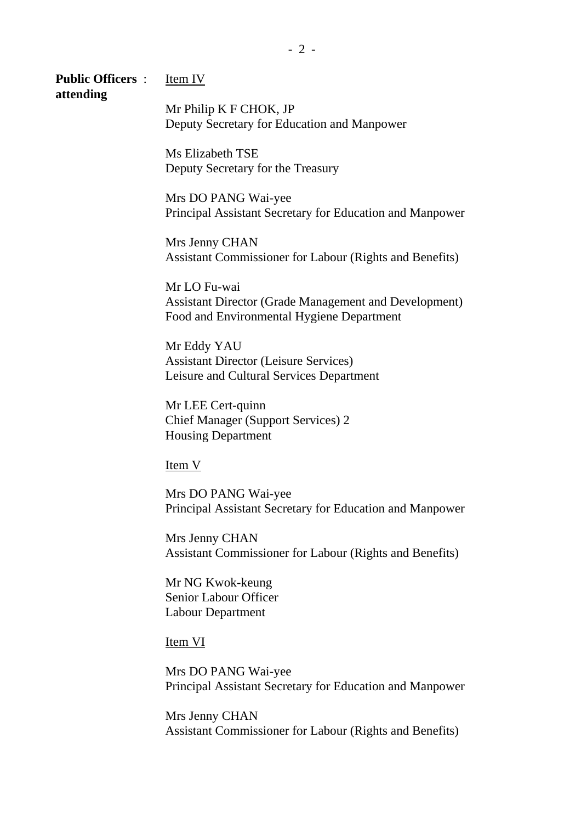### **Public Officers** : Item IV **attending**

 Mr Philip K F CHOK, JP Deputy Secretary for Education and Manpower

 Ms Elizabeth TSE Deputy Secretary for the Treasury

 Mrs DO PANG Wai-yee Principal Assistant Secretary for Education and Manpower

 Mrs Jenny CHAN Assistant Commissioner for Labour (Rights and Benefits)

 Mr LO Fu-wai Assistant Director (Grade Management and Development) Food and Environmental Hygiene Department

 Mr Eddy YAU Assistant Director (Leisure Services) Leisure and Cultural Services Department

 Mr LEE Cert-quinn Chief Manager (Support Services) 2 Housing Department

Item V

 Mrs DO PANG Wai-yee Principal Assistant Secretary for Education and Manpower

 Mrs Jenny CHAN Assistant Commissioner for Labour (Rights and Benefits)

 Mr NG Kwok-keung Senior Labour Officer Labour Department

Item VI

 Mrs DO PANG Wai-yee Principal Assistant Secretary for Education and Manpower

 Mrs Jenny CHAN Assistant Commissioner for Labour (Rights and Benefits)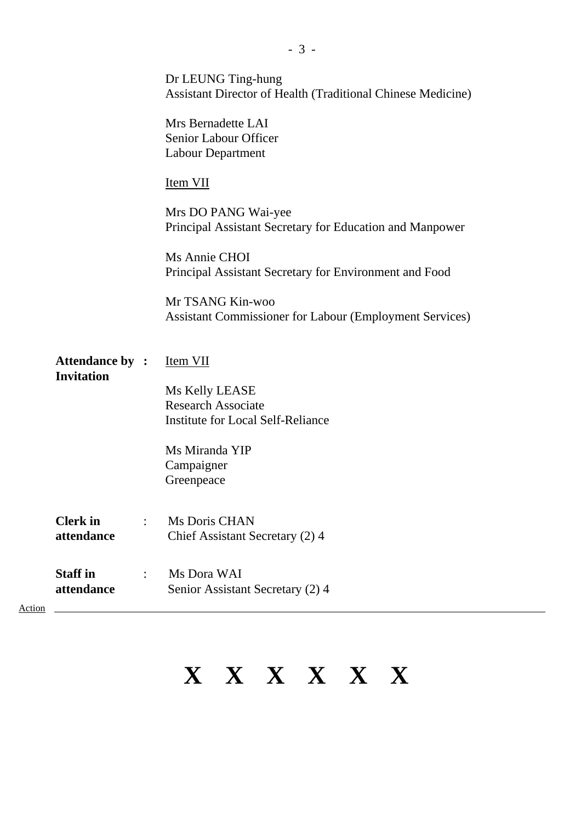|        |                                      |                      | Dr LEUNG Ting-hung<br>Assistant Director of Health (Traditional Chinese Medicine)  |
|--------|--------------------------------------|----------------------|------------------------------------------------------------------------------------|
|        |                                      |                      | Mrs Bernadette LAI<br>Senior Labour Officer<br>Labour Department                   |
|        |                                      |                      | <b>Item VII</b>                                                                    |
|        |                                      |                      | Mrs DO PANG Wai-yee<br>Principal Assistant Secretary for Education and Manpower    |
|        |                                      |                      | Ms Annie CHOI<br>Principal Assistant Secretary for Environment and Food            |
|        |                                      |                      | Mr TSANG Kin-woo<br><b>Assistant Commissioner for Labour (Employment Services)</b> |
|        | Attendance by :<br><b>Invitation</b> |                      | Item VII                                                                           |
|        |                                      |                      | Ms Kelly LEASE                                                                     |
|        |                                      |                      | <b>Research Associate</b>                                                          |
|        |                                      |                      | <b>Institute for Local Self-Reliance</b>                                           |
|        |                                      |                      | Ms Miranda YIP                                                                     |
|        |                                      |                      | Campaigner                                                                         |
|        |                                      |                      | Greenpeace                                                                         |
|        | <b>Clerk</b> in                      | $\ddot{\phantom{a}}$ | Ms Doris CHAN                                                                      |
|        | attendance                           |                      | Chief Assistant Secretary (2) 4                                                    |
|        | <b>Staff in</b><br>attendance        | $\ddot{\cdot}$       | Ms Dora WAI<br>Senior Assistant Secretary (2) 4                                    |
| Action |                                      |                      |                                                                                    |

# **X X X X X X**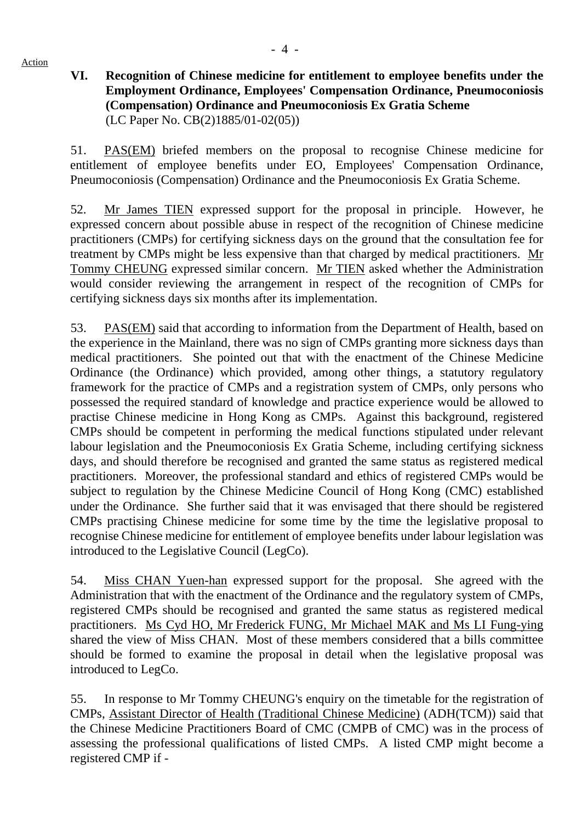Action

### **VI. Recognition of Chinese medicine for entitlement to employee benefits under the Employment Ordinance, Employees' Compensation Ordinance, Pneumoconiosis (Compensation) Ordinance and Pneumoconiosis Ex Gratia Scheme** (LC Paper No. CB(2)1885/01-02(05))

51. PAS(EM) briefed members on the proposal to recognise Chinese medicine for entitlement of employee benefits under EO, Employees' Compensation Ordinance, Pneumoconiosis (Compensation) Ordinance and the Pneumoconiosis Ex Gratia Scheme.

52. Mr James TIEN expressed support for the proposal in principle. However, he expressed concern about possible abuse in respect of the recognition of Chinese medicine practitioners (CMPs) for certifying sickness days on the ground that the consultation fee for treatment by CMPs might be less expensive than that charged by medical practitioners. Mr Tommy CHEUNG expressed similar concern. Mr TIEN asked whether the Administration would consider reviewing the arrangement in respect of the recognition of CMPs for certifying sickness days six months after its implementation.

53. PAS(EM) said that according to information from the Department of Health, based on the experience in the Mainland, there was no sign of CMPs granting more sickness days than medical practitioners. She pointed out that with the enactment of the Chinese Medicine Ordinance (the Ordinance) which provided, among other things, a statutory regulatory framework for the practice of CMPs and a registration system of CMPs, only persons who possessed the required standard of knowledge and practice experience would be allowed to practise Chinese medicine in Hong Kong as CMPs. Against this background, registered CMPs should be competent in performing the medical functions stipulated under relevant labour legislation and the Pneumoconiosis Ex Gratia Scheme, including certifying sickness days, and should therefore be recognised and granted the same status as registered medical practitioners. Moreover, the professional standard and ethics of registered CMPs would be subject to regulation by the Chinese Medicine Council of Hong Kong (CMC) established under the Ordinance. She further said that it was envisaged that there should be registered CMPs practising Chinese medicine for some time by the time the legislative proposal to recognise Chinese medicine for entitlement of employee benefits under labour legislation was introduced to the Legislative Council (LegCo).

54. Miss CHAN Yuen-han expressed support for the proposal. She agreed with the Administration that with the enactment of the Ordinance and the regulatory system of CMPs, registered CMPs should be recognised and granted the same status as registered medical practitioners. Ms Cyd HO, Mr Frederick FUNG, Mr Michael MAK and Ms LI Fung-ying shared the view of Miss CHAN. Most of these members considered that a bills committee should be formed to examine the proposal in detail when the legislative proposal was introduced to LegCo.

55. In response to Mr Tommy CHEUNG's enquiry on the timetable for the registration of CMPs, Assistant Director of Health (Traditional Chinese Medicine) (ADH(TCM)) said that the Chinese Medicine Practitioners Board of CMC (CMPB of CMC) was in the process of assessing the professional qualifications of listed CMPs. A listed CMP might become a registered CMP if -